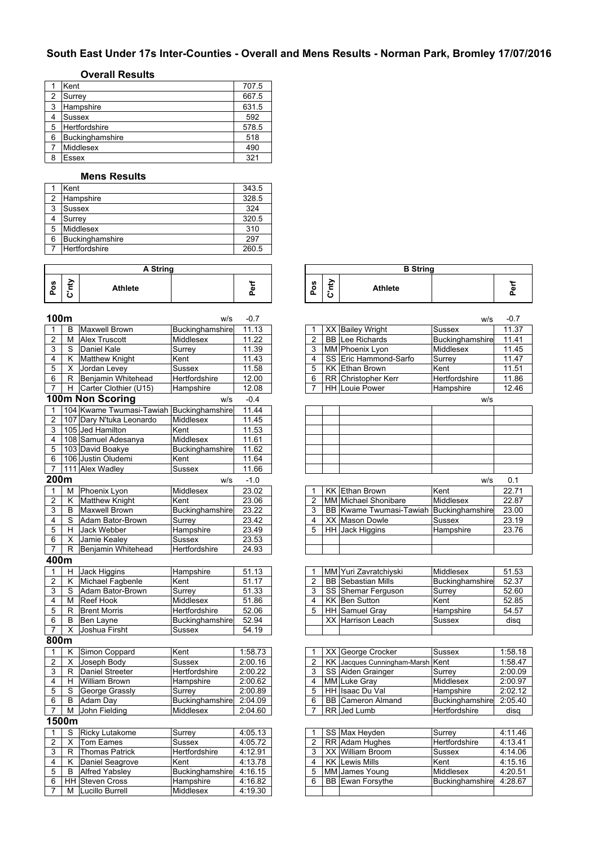# **South East Under 17s Inter-Counties - Overall and Mens Results - Norman Park, Bromley 17/07/2016**

### **Overall Results**

|   | Kent            | 707.5 |
|---|-----------------|-------|
| 2 | Surrey          | 667.5 |
| 3 | Hampshire       | 631.5 |
|   | <b>Sussex</b>   | 592   |
| 5 | Hertfordshire   | 578.5 |
| 6 | Buckinghamshire | 518   |
|   | Middlesex       | 490   |
| 8 | Essex           | 321   |

#### **Mens Results**

|   | Kent                 | 343.5 |
|---|----------------------|-------|
| 2 | Hampshire            | 328.5 |
| 3 | <b>Sussex</b>        | 324   |
|   | Surrey               | 320.5 |
| 5 | Middlesex            | 310   |
| 6 | Buckinghamshire      | 297   |
|   | <b>Hertfordshire</b> | 260.5 |

|        | A String |                |  |   |  |  |  |
|--------|----------|----------------|--|---|--|--|--|
| n<br>o |          | <b>Athlete</b> |  | œ |  |  |  |

| 100m                    |                         |                          | w/s              | $-0.7$  |                |                                         | w/s             | $-0.7$ |
|-------------------------|-------------------------|--------------------------|------------------|---------|----------------|-----------------------------------------|-----------------|--------|
| 1                       | B                       | <b>Maxwell Brown</b>     | Buckinghamshire  | 11.13   | 1              | XX Bailey Wright                        | <b>Sussex</b>   | 11.37  |
| $\overline{2}$          | М                       | <b>Alex Truscott</b>     | Middlesex        | 11.22   | $\overline{2}$ | <b>BB</b> Lee Richards                  | Buckinghamshire | 11.41  |
| 3                       | S                       | Daniel Kale              | Surrey           | 11.39   | 3              | MM Phoenix Lyon                         | Middlesex       | 11.45  |
| 4                       | Κ                       | <b>Matthew Knight</b>    | Kent             | 11.43   | 4              | SS Eric Hammond-Sarfo                   | Surrey          | 11.47  |
| 5                       | X                       | Jordan Levey             | Sussex           | 11.58   | 5              | <b>KK Ethan Brown</b>                   | Kent            | 11.51  |
| 6                       |                         | R Benjamin Whitehead     | Hertfordshire    | 12.00   | 6              | RR Christopher Kerr                     | Hertfordshire   | 11.86  |
| $\overline{7}$          | H                       | Carter Clothier (U15)    | Hampshire        | 12.08   | 7              | <b>HH Louie Power</b>                   | Hampshire       | 12.46  |
|                         |                         | 100m Non Scoring         | W/S              | $-0.4$  |                |                                         | W/S             |        |
| $\mathbf{1}$            |                         | 104 Kwame Twumasi-Tawiah | Buckinghamshire  | 11.44   |                |                                         |                 |        |
| $\overline{2}$          |                         | 107 Dary N'tuka Leonardo | Middlesex        | 11.45   |                |                                         |                 |        |
| 3                       |                         | 105 Jed Hamilton         | Kent             | 11.53   |                |                                         |                 |        |
| 4                       |                         | 108 Samuel Adesanya      | Middlesex        | 11.61   |                |                                         |                 |        |
| 5                       |                         | 103 David Boakye         | Buckinghamshire  | 11.62   |                |                                         |                 |        |
| 6                       |                         | 106 Justin Oludemi       | Kent             | 11.64   |                |                                         |                 |        |
| 7                       |                         | 111 Alex Wadley          | Sussex           | 11.66   |                |                                         |                 |        |
| 200m                    |                         |                          | W/S              | $-1.0$  |                |                                         | W/S             | 0.1    |
| 1                       | М                       | Phoenix Lyon             | Middlesex        | 23.02   | 1              | <b>KK Ethan Brown</b>                   | Kent            | 22.71  |
| $\overline{\mathbf{c}}$ | K                       | <b>Matthew Knight</b>    | Kent             | 23.06   | 2              | MM Michael Shonibare                    | Middlesex       | 22.87  |
| 3                       | $\overline{B}$          | Maxwell Brown            | Buckinghamshire  | 23.22   | 3              | BB Kwame Twumasi-Tawiah Buckinghamshire |                 | 23.00  |
| 4                       | $\overline{s}$          | Adam Bator-Brown         | Surrey           | 23.42   | 4              | XX Mason Dowle                          | Sussex          | 23.19  |
| 5                       | H                       | Jack Webber              | Hampshire        | 23.49   | 5              | HH Jack Higgins                         | Hampshire       | 23.76  |
| 6                       | $\overline{\mathsf{X}}$ | Jamie Kealey             | Sussex           | 23.53   |                |                                         |                 |        |
| $\overline{7}$          | R                       | Benjamin Whitehead       | Hertfordshire    | 24.93   |                |                                         |                 |        |
| 400m                    |                         |                          |                  |         |                |                                         |                 |        |
| $\mathbf{1}$            | H                       | Jack Higgins             | Hampshire        | 51.13   | 1              | MM Yuri Zavratchiyski                   | Middlesex       | 51.53  |
| $\overline{2}$          | K                       | Michael Fagbenle         | Kent             | 51.17   | $\overline{2}$ | <b>BB</b> Sebastian Mills               | Buckinghamshire | 52.37  |
| 3                       | S                       | Adam Bator-Brown         | Surrey           | 51.33   | 3              | SS Shemar Ferguson                      | Surrey          | 52.60  |
| 4                       | М                       | <b>Reef Hook</b>         | <b>Middlesex</b> | 51.86   | $\overline{4}$ | <b>KK Ben Sutton</b>                    | Kent            | 52.85  |
| $\overline{5}$          | R                       | <b>Brent Morris</b>      | Hertfordshire    | 52.06   | $\overline{5}$ | <b>HH</b> Samuel Gray                   | Hampshire       | 54.57  |
| 6                       | B                       | <b>Ben Layne</b>         | Buckinghamshire  | 52.94   |                | <b>XX Harrison Leach</b>                | <b>Sussex</b>   | disa   |
| $\overline{7}$          | X                       | Joshua Firsht            | Sussex           | 54.19   |                |                                         |                 |        |
| 800m                    |                         |                          |                  |         |                |                                         |                 |        |
| 1                       | Κ                       | Simon Coppard            | Kent             | 1:58.73 | 1              | XX George Crocker                       | <b>Sussex</b>   | 1:58.1 |
| $\overline{2}$          | x                       | Joseph Body              | Sussex           | 2:00.16 | 2              | KK Jacques Cunningham-Marsh Kent        |                 | 1:58.4 |
| 3                       | R                       | Daniel Streeter          | Hertfordshire    | 2:00.22 | 3              | SS Aiden Grainger                       | Surrey          | 2:00.0 |
| 4                       | H.                      | <b>William Brown</b>     | Hampshire        | 2:00.62 | 4              | <b>MM</b> Luke Grav                     | Middlesex       | 2:00.9 |
| 5                       | $\overline{s}$          | George Grassly           | Surrey           | 2:00.89 | $\overline{5}$ | HH Isaac Du Val                         | Hampshire       | 2:02.1 |
| 6                       | В                       | Adam Day                 | Buckinghamshire  | 2:04.09 | 6              | <b>BB</b> Cameron Almand                | Buckinghamshire | 2:05.4 |
| 7                       | M                       | John Fielding            | Middlesex        | 2:04.60 | $\overline{7}$ | RR Jed Lumb                             | Hertfordshire   | disq   |
|                         | 1500m                   |                          |                  |         |                |                                         |                 |        |
| 1                       | S                       | <b>Ricky Lutakome</b>    | Surrey           | 4:05.13 | 1              | SS Max Heyden                           | Surrey          | 4:11.4 |
| $\overline{2}$          | X                       | <b>Tom Eames</b>         | <b>Sussex</b>    | 4:05.72 | $\overline{2}$ | RR Adam Hughes                          | Hertfordshire   | 4:13.4 |
| 3                       | $\overline{R}$          | <b>Thomas Patrick</b>    | Hertfordshire    | 4:12.91 | 3              | XX William Broom                        | <b>Sussex</b>   | 4:14.0 |
| $\overline{4}$          | Κ                       | Daniel Seagrove          | Kent             | 4:13.78 | 4              | <b>KK Lewis Mills</b>                   | Kent            | 4:15.1 |
| $\overline{5}$          | B                       | <b>Alfred Yabsley</b>    | Buckinghamshire  | 4:16.15 | $\overline{5}$ | MM James Young                          | Middlesex       | 4:20.5 |
| 6                       |                         | <b>HH</b> Steven Cross   | Hampshire        | 4:16.82 | $\overline{6}$ | <b>BB</b> Ewan Forsythe                 | Buckinghamshire | 4:28.6 |
| $\overline{7}$          | М                       | Lucillo Burrell          | Middlesex        | 4:19.30 |                |                                         |                 |        |
|                         |                         |                          |                  |         |                |                                         |                 |        |

| A String |                 |                   | <b>B</b> String  |                |         |
|----------|-----------------|-------------------|------------------|----------------|---------|
|          | $\sim$<br><br>ட | ő<br>$\mathbf{a}$ | ₽<br>-<br>►<br>ပ | <b>Athlete</b> | $\cdot$ |

|                | uum               |                                          | w/s              | -0.7    |                         |           |                                      | w/s                  | $-0.7$            |
|----------------|-------------------|------------------------------------------|------------------|---------|-------------------------|-----------|--------------------------------------|----------------------|-------------------|
| 1              | B                 | <b>Maxwell Brown</b>                     | Buckinghamshire  | 11.13   |                         |           | XX Bailey Wright                     | <b>Sussex</b>        | 11.37             |
| $\overline{2}$ | M                 | <b>Alex Truscott</b>                     | Middlesex        | 11.22   | $\overline{2}$          | <b>BB</b> | Lee Richards                         | Buckinghamshire      | 11.41             |
| 3              | S                 | Daniel Kale                              | Surrey           | 11.39   | 3                       |           | MM Phoenix Lyon                      | Middlesex            | 11.45             |
| 4              | K                 | <b>Matthew Knight</b>                    | Kent             | 11.43   | $\overline{4}$          | SS        | Eric Hammond-Sarfo                   | Surrey               | 11.47             |
| 5              | X                 | Jordan Levey                             | Sussex           | 11.58   | 5                       | KK        | <b>Ethan Brown</b>                   | Kent                 | 11.51             |
| 6              | R                 | Benjamin Whitehead                       | Hertfordshire    | 12.00   | 6                       |           | RR Christopher Kerr                  | <b>Hertfordshire</b> | 11.86             |
| $\overline{7}$ | H                 | Carter Clothier (U15)                    | Hampshire        | 12.08   |                         |           | <b>HH Louie Power</b>                | Hampshire            | 12.46             |
|                |                   | 00m Non Scoring                          | W/S              | $-0.4$  |                         |           |                                      | W/S                  |                   |
| 1              |                   | 104 Kwame Twumasi-Tawiah Buckinghamshire |                  | 11.44   |                         |           |                                      |                      |                   |
| $\overline{2}$ |                   | 107 Dary N'tuka Leonardo                 | Middlesex        | 11.45   |                         |           |                                      |                      |                   |
| 3              |                   | 105 Jed Hamilton                         | Kent             | 11.53   |                         |           |                                      |                      |                   |
| 4              |                   | 108 Samuel Adesanya                      | Middlesex        | 11.61   |                         |           |                                      |                      |                   |
| 5              |                   | 103 David Boakye                         | Buckinghamshire  | 11.62   |                         |           |                                      |                      |                   |
| 6              |                   | 106 Justin Oludemi                       | Kent             | 11.64   |                         |           |                                      |                      |                   |
| 7              |                   | 111 Alex Wadley                          | Sussex           | 11.66   |                         |           |                                      |                      |                   |
|                | 00m               |                                          | W/S              | $-1.0$  |                         |           |                                      | W/S                  | 0.1               |
| 1              | M                 | Phoenix Lyon                             | <b>Middlesex</b> | 23.02   |                         | KK        | <b>Ethan Brown</b>                   | Kent                 | 22.71             |
|                | Κ                 | <b>Matthew Knight</b>                    | Kent             | 23.06   | $\overline{2}$          |           | <b>MM Michael Shonibare</b>          | Middlesex            | 22.87             |
| $\frac{2}{3}$  | B                 | <b>Maxwell Brown</b>                     | Buckinghamshire  | 23.22   | 3                       | BB        | Kwame Twumasi-Tawiah Buckinghamshire |                      | 23.00             |
| 4              | S                 | Adam Bator-Brown                         | Surrey           | 23.42   | $\overline{4}$          | XX.       | <b>Mason Dowle</b>                   | <b>Sussex</b>        | 23.19             |
| 5              | H                 | Jack Webber                              | Hampshire        | 23.49   | 5                       | <b>HH</b> | <b>Jack Higgins</b>                  | Hampshire            | 23.76             |
| 6              | X                 | Jamie Kealey                             | <b>Sussex</b>    | 23.53   |                         |           |                                      |                      |                   |
| 7              | R                 | Benjamin Whitehead                       | Hertfordshire    | 24.93   |                         |           |                                      |                      |                   |
|                | $\overline{0}$ 0m |                                          |                  |         |                         |           |                                      |                      |                   |
| 1              | н                 | Jack Higgins                             | Hampshire        | 51.13   |                         |           | MM Yuri Zavratchiyski                | Middlesex            | 51.53             |
| $\frac{2}{3}$  | K                 | Michael Fagbenle                         | Kent             | 51.17   | $\overline{2}$          | <b>BB</b> | Sebastian Mills                      | Buckinghamshire      | 52.37             |
|                | S                 | Adam Bator-Brown                         | Surrey           | 51.33   | 3                       | SS        | Shemar Ferguson                      | Surrey               | $\frac{1}{52.60}$ |
| 4              | M                 | <b>Reef Hook</b>                         | Middlesex        | 51.86   | $\overline{4}$          | KK        | <b>Ben Sutton</b>                    | Kent                 | 52.85             |
|                | R                 | <b>Brent Morris</b>                      | Hertfordshire    | 52.06   | 5                       |           | HH Samuel Gray                       | Hampshire            | 54.57             |
| $\frac{5}{6}$  | B                 | Ben Layne                                | Buckinghamshire  | 52.94   |                         |           | XX Harrison Leach                    | <b>Sussex</b>        | disq              |
|                | $\times$          | Joshua Firsht                            | <b>Sussex</b>    | 54.19   |                         |           |                                      |                      |                   |
|                | 00m               |                                          |                  |         |                         |           |                                      |                      |                   |
| 1              | K                 | Simon Coppard                            | Kent             | 1:58.73 |                         | XX        | George Crocker                       | <b>Sussex</b>        | 1:58.18           |
| 2              | X                 | Joseph Body                              | <b>Sussex</b>    | 2:00.16 | $\overline{2}$          | KK        | Jacques Cunningham-Marsh Kent        |                      | 1:58.47           |
| 3              | R                 | Daniel Streeter                          | Hertfordshire    | 2:00.22 | 3                       |           | SS Aiden Grainger                    | Surrey               | 2:00.09           |
| 4              | H                 | <b>William Brown</b>                     | Hampshire        | 2:00.62 | $\overline{\mathbf{4}}$ |           | MM Luke Gray                         | Middlesex            | 2:00.97           |
| 5              | S                 | George Grassly                           | Surrey           | 2:00.89 | 5                       | HH        | <b>Isaac Du Val</b>                  | Hampshire            | 2:02.12           |
| 6              | B                 | <b>Adam Day</b>                          | Buckinghamshire  | 2:04.09 | 6                       | <b>BB</b> | <b>Cameron Almand</b>                | Buckinghamshire      | 2:05.40           |
| 7              | M                 | John Fielding                            | Middlesex        | 2:04.60 | 7                       |           | RR Jed Lumb                          | Hertfordshire        | disq              |
|                | 500m              |                                          |                  |         |                         |           |                                      |                      |                   |
|                |                   |                                          |                  |         |                         |           |                                      |                      |                   |

|   |     | Ricky Lutakome         | Surrev                 | 4:05.13 |  | SS Max Heyden           | Surrev               | 4:11.46 |
|---|-----|------------------------|------------------------|---------|--|-------------------------|----------------------|---------|
|   |     | Tom Eames              | Sussex                 | 4:05.72 |  | RR Adam Hughes          | <b>Hertfordshire</b> | 4:13.41 |
| 3 |     | <b>Thomas Patrick</b>  | <b>Hertfordshire</b>   | 4:12.91 |  | XX William Broom        | Sussex               | 4:14.06 |
|   |     | Daniel Seagrove        | Kent                   | 4:13.78 |  | <b>KK Lewis Mills</b>   | Kent                 | 4:15.16 |
| 5 | - B | <b>Alfred Yabslev</b>  | <b>Buckinghamshire</b> | 4:16.15 |  | MM James Young          | Middlesex            | 4:20.51 |
|   |     | <b>HH Steven Cross</b> | Hampshire              | 4:16.82 |  | <b>BB</b> Ewan Forsythe | Buckinghamshire      | 4:28.67 |
|   | м   | Lucillo Burrell        | <b>Middlesex</b>       | 4:19.30 |  |                         |                      |         |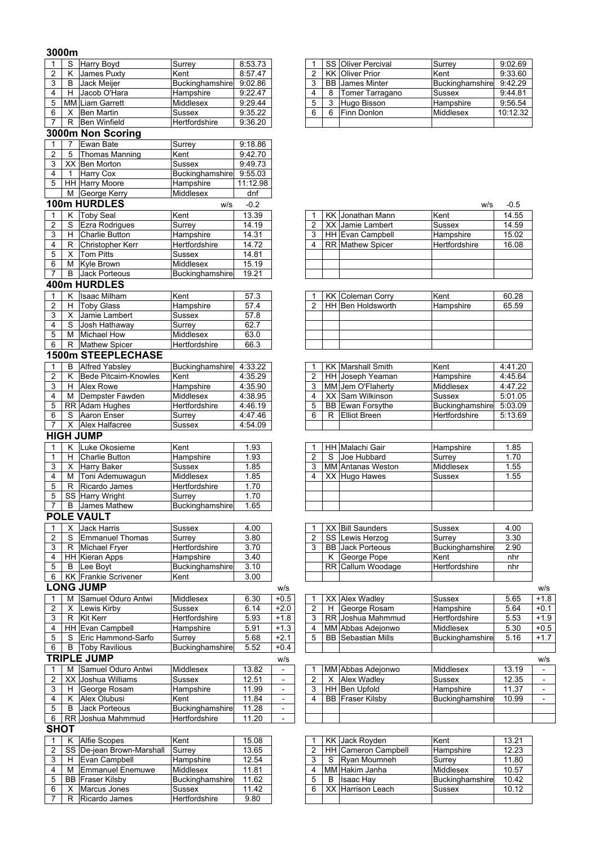## **3000m**

| 1<br>$\overline{2}$                     |                          |                                            |                            |                 |                          |                         |    |                                              |                            |                |
|-----------------------------------------|--------------------------|--------------------------------------------|----------------------------|-----------------|--------------------------|-------------------------|----|----------------------------------------------|----------------------------|----------------|
|                                         | S                        | <b>Harry Boyd</b>                          | Surrey                     | 8:53.73         |                          |                         |    | SS Oliver Percival                           | Surrey                     | 9:02.69        |
|                                         | K                        | James Puxty                                | Kent                       | 8:57.47         |                          | $\overline{2}$          |    | <b>KK Oliver Prior</b>                       | Kent                       | 9:33.60        |
| 3                                       | B                        | Jack Meijer                                | Buckinghamshire            | 9:02.86         |                          | 3                       | BB | <b>James Minter</b>                          | Buckinghamshire            | 9:42.29        |
| $\overline{\mathbf{4}}$                 | Н                        | Jacob O'Hara                               | Hampshire                  | 9:22.47         |                          | 4                       | 8  | Tomer Tarragano                              | Sussex                     | 9:44.81        |
| 5                                       |                          | <b>MM Liam Garrett</b>                     | Middlesex                  | 9:29.44         |                          | 5                       | 3  | Hugo Bisson                                  | Hampshire                  | 9:56.54        |
| 6                                       | X                        | <b>Ben Martin</b>                          | Sussex                     | 9:35.22         |                          | 6                       | 6  | Finn Donlon                                  | Middlesex                  | 10:12.32       |
| $\overline{7}$                          | R                        | <b>Ben Winfield</b>                        | Hertfordshire              | 9:36.20         |                          |                         |    |                                              |                            |                |
|                                         |                          | 3000m Non Scoring                          |                            |                 |                          |                         |    |                                              |                            |                |
| $\mathbf{1}$                            | $\overline{7}$           | Ewan Bate                                  | Surrey                     | 9:18.86         |                          |                         |    |                                              |                            |                |
| $\overline{2}$                          | 5                        | Thomas Manning                             | Kent                       | 9:42.70         |                          |                         |    |                                              |                            |                |
| 3                                       |                          | XX Ben Morton                              | Sussex                     | 9:49.73         |                          |                         |    |                                              |                            |                |
| $\overline{\mathbf{4}}$                 | $\overline{1}$           | Harry Cox                                  | Buckinghamshire            | 9:55.03         |                          |                         |    |                                              |                            |                |
| 5                                       |                          | HH Harry Moore<br>M George Kerry           | Hampshire<br>Middlesex     | 11:12.98<br>dnf |                          |                         |    |                                              |                            |                |
|                                         |                          | 100m HURDLES                               |                            |                 |                          |                         |    |                                              |                            |                |
|                                         |                          |                                            | W/S                        | $-0.2$          |                          |                         |    |                                              | w/s                        | $-0.5$         |
| 1                                       | Κ                        | <b>Toby Seal</b>                           | Kent                       | 13.39           |                          |                         |    | KK Jonathan Mann                             | Kent                       | 14.55          |
| $\overline{c}$                          | $\overline{\mathcal{S}}$ | Ezra Rodrigues                             | Surrey                     | 14.19           |                          | 2                       |    | XX Jamie Lambert                             | <b>Sussex</b>              | 14.59          |
| 3                                       | H                        | <b>Charlie Button</b>                      | Hampshire<br>Hertfordshire | 14.31           |                          | 3<br>$\overline{4}$     |    | HH Evan Campbell<br><b>RR</b> Mathew Spicer  | Hampshire<br>Hertfordshire | 15.02<br>16.08 |
| 4<br>5                                  | R<br>Χ                   | <b>Christopher Kerr</b><br>Tom Pitts       | Sussex                     | 14.72<br>14.81  |                          |                         |    |                                              |                            |                |
| $\overline{6}$                          | M                        | <b>Kyle Brown</b>                          | Middlesex                  | 15.19           |                          |                         |    |                                              |                            |                |
| $\overline{7}$                          | В                        | <b>Jack Porteous</b>                       | Buckinghamshire            | 19.21           |                          |                         |    |                                              |                            |                |
|                                         |                          | 400m HURDLES                               |                            |                 |                          |                         |    |                                              |                            |                |
|                                         |                          | <b>Isaac Milham</b>                        |                            | 57.3            |                          |                         |    |                                              |                            |                |
| $\mathbf{1}$<br>$\overline{\mathbf{c}}$ | Κ<br>Н                   | <b>Toby Glass</b>                          | Kent<br>Hampshire          | 57.4            |                          | 2                       |    | <b>KK Coleman Corry</b><br>HH Ben Holdsworth | Kent<br>Hampshire          | 60.28<br>65.59 |
| 3                                       | X                        | Jamie Lambert                              | Sussex                     | 57.8            |                          |                         |    |                                              |                            |                |
| $\overline{4}$                          | S                        | Josh Hathaway                              | Surrey                     | 62.7            |                          |                         |    |                                              |                            |                |
| 5                                       | M                        | <b>Michael How</b>                         | Middlesex                  | 63.0            |                          |                         |    |                                              |                            |                |
| 6                                       | R                        | <b>Mathew Spicer</b>                       | Hertfordshire              | 66.3            |                          |                         |    |                                              |                            |                |
|                                         |                          | <b>1500m STEEPLECHASE</b>                  |                            |                 |                          |                         |    |                                              |                            |                |
| 1                                       | В                        | <b>Alfred Yabsley</b>                      | Buckinghamshire            | 4:33.22         |                          |                         |    | <b>KK Marshall Smith</b>                     | Kent                       | 4:41.20        |
| $\overline{c}$                          | K                        | <b>Bede Pitcairn-Knowles</b>               | Kent                       | 4:35.29         |                          | 2                       |    | HH Joseph Yeaman                             | Hampshire                  | 4:45.64        |
| 3                                       | H                        | <b>Alex Rowe</b>                           | Hampshire                  | 4:35.90         |                          | 3                       |    | MM Jem O'Flaherty                            | Middlesex                  | 4:47.22        |
| 4                                       | м                        | Dempster Fawden                            | Middlesex                  | 4:38.95         |                          | $\overline{4}$          |    | XX Sam Wilkinson                             | Sussex                     | 5:01.05        |
| $\overline{5}$                          |                          | RR Adam Hughes                             | Hertfordshire              | 4:46.19         |                          | 5                       |    | <b>BB</b> Ewan Forsythe                      | Buckinghamshire            | 5:03.09        |
| 6                                       | S                        | Aaron Enser                                | Surrey                     | 4:47.46         |                          | 6                       | R  | <b>Elliot Breen</b>                          | Hertfordshire              | 5:13.69        |
| $\overline{7}$                          | X                        | Alex Halfacree                             | Sussex                     | 4:54.09         |                          |                         |    |                                              |                            |                |
|                                         |                          | <b>HIGH JUMP</b>                           |                            |                 |                          |                         |    |                                              |                            |                |
|                                         |                          | Luke Okosieme                              | Kent                       |                 |                          |                         |    |                                              |                            | 1.85           |
|                                         |                          |                                            |                            |                 |                          |                         |    |                                              |                            |                |
| $\mathbf{1}$                            | Κ                        |                                            |                            | 1.93            |                          |                         |    | HH Malachi Gair                              | Hampshire                  |                |
| 1                                       | Н                        | <b>Charlie Button</b>                      | Hampshire                  | 1.93            |                          | 2                       | S  | Joe Hubbard                                  | Surrey                     | 1.70           |
| 3                                       | Х                        | <b>Harry Baker</b>                         | Sussex                     | 1.85            |                          | 3<br>4                  |    | <b>MM</b> Antanas Weston                     | Middlesex                  | 1.55           |
| 4                                       | М                        | Toni Ademuwagun<br>Ricardo James           | Middlesex<br>Hertfordshire | 1.85<br>1.70    |                          |                         |    | XX Hugo Hawes                                | Sussex                     | 1.55           |
| 5                                       | R                        |                                            |                            |                 |                          |                         |    |                                              |                            |                |
| 5<br>$\overline{7}$                     |                          | SS Harry Wright                            | Surrey                     | 1.70            |                          |                         |    |                                              |                            |                |
|                                         |                          | <b>B</b> James Mathew                      | Buckinghamshire            | 1.65            |                          |                         |    |                                              |                            |                |
|                                         |                          | <b>POLE VAULT</b>                          |                            |                 |                          |                         |    |                                              |                            |                |
| $\mathbf{1}$                            | X                        | <b>Jack Harris</b>                         | Sussex                     | 4.00            |                          | 2                       |    | XX Bill Saunders                             | <b>Sussex</b>              | 4.00           |
| $\overline{\mathbf{c}}$                 | S<br>R                   | Emmanuel Thomas                            | Surrey                     | 3.80<br>3.70    |                          | 3                       |    | SS Lewis Herzog<br><b>BB</b> Jack Porteous   | Surrey<br>Buckinghamshire  | 3.30           |
| 3<br>4                                  |                          | Michael Fryer<br>HH Kieran Apps            | Hertfordshire<br>Hampshire | 3.40            |                          |                         | K  | George Pope                                  | Kent                       | 2.90<br>nhr    |
| $\overline{5}$                          | B                        | Lee Boyt                                   | Buckinghamshire            | 3.10            |                          |                         |    | RR Callum Woodage                            | Hertfordshire              | nhr            |
| 6                                       |                          | <b>KK</b> Frankie Scrivener                | Kent                       | 3.00            |                          |                         |    |                                              |                            |                |
|                                         |                          | <b>LONG JUMP</b>                           |                            |                 | w/s                      |                         |    |                                              |                            |                |
| $\mathbf{1}$                            | M                        |                                            | Middlesex                  | 6.30            |                          | 1                       |    | XX Alex Wadley                               | Sussex                     | 5.65           |
|                                         | X                        | Samuel Oduro Antwi<br>Lewis Kirby          | Sussex                     | 6.14            | $+0.5$<br>$+2.0$         | 2                       | H  | George Rosam                                 | Hampshire                  | 5.64           |
| $\overline{2}$<br>3                     | R                        | <b>Kit Kerr</b>                            | Hertfordshire              | 5.93            | $+1.8$                   | 3                       |    | RR Joshua Mahmmud                            | Hertfordshire              | 5.53           |
| $\overline{4}$                          |                          | HH Evan Campbell                           | Hampshire                  | 5.91            | $+1.3$                   | 4                       |    | MM Abbas Adejonwo                            | Middlesex                  | 5.30           |
| $\,$ 5 $\,$                             | S                        | Eric Hammond-Sarfo                         | Surrey                     | 5.68            | $+2.1$                   | 5                       |    | <b>BB</b> Sebastian Mills                    | Buckinghamshire            | 5.16           |
| 6                                       | В                        | <b>Toby Ravilious</b>                      | Buckinghamshire            | 5.52            | $+0.4$                   |                         |    |                                              |                            |                |
|                                         |                          | <b>TRIPLE JUMP</b>                         |                            |                 | w/s                      |                         |    |                                              |                            |                |
| $\mathbf{1}$                            | M                        | Samuel Oduro Antwi                         | Middlesex                  | 13.82           | $\overline{\phantom{a}}$ |                         |    | MM Abbas Adejonwo                            | Middlesex                  | 13.19          |
| 2                                       | XX                       | Joshua Williams                            | Sussex                     | 12.51           | $\overline{\phantom{a}}$ | 2                       | X  | <b>Alex Wadley</b>                           | Sussex                     | 12.35          |
| 3                                       | H                        | George Rosam                               | Hampshire                  | 11.99           | $\overline{\phantom{a}}$ | 3                       |    | HH Ben Upfold                                | Hampshire                  | 11.37          |
|                                         |                          |                                            |                            | 11.84           | $\blacksquare$           | $\overline{\mathbf{4}}$ |    | <b>BB</b> Fraser Kilsby                      | Buckinghamshire            | 10.99          |
| $\overline{\mathbf{4}}$<br>$\,$ 5 $\,$  | Κ<br>B                   | Alex Olubusi<br>Jack Porteous              | Kent<br>Buckinghamshire    | 11.28           | $\overline{\phantom{a}}$ |                         |    |                                              |                            |                |
| $\,6\,$                                 |                          | RR Joshua Mahmmud                          | Hertfordshire              | 11.20           |                          |                         |    |                                              |                            |                |
| <b>SHOT</b>                             |                          |                                            |                            |                 |                          |                         |    |                                              |                            |                |
| 1                                       | K                        |                                            | Kent                       | 15.08           |                          |                         |    | <b>KK</b> Jack Royden                        | Kent                       | 13.21          |
|                                         |                          | Alfie Scopes                               |                            | 13.65           |                          | 2                       |    |                                              |                            |                |
| $\overline{2}$<br>3                     | H                        | SS De-jean Brown-Marshall<br>Evan Campbell | Surrey<br>Hampshire        | 12.54           |                          | 3                       | S  | HH Cameron Campbell<br>Ryan Moumneh          | Hampshire<br>Surrey        | 12.23<br>11.80 |
| 4                                       | М                        | Emmanuel Enemuwe                           | Middlesex                  | 11.81           |                          | 4                       |    |                                              | Middlesex                  | 10.57          |
|                                         |                          |                                            |                            | 11.62           |                          | 5                       | B  | MM Hakim Janha                               |                            | 10.42          |
| 5<br>6                                  | X                        | <b>BB</b> Fraser Kilsby<br>Marcus Jones    | Buckinghamshire<br>Sussex  | 11.42           |                          | 6                       | XX | <b>Isaac Hay</b><br>Harrison Leach           | Buckinghamshire<br>Sussex  | 10.12          |

|   |   | SS Oliver Percival     | Surrey           | 9:02.69  |
|---|---|------------------------|------------------|----------|
|   |   | <b>KK Oliver Prior</b> | Kent             | 9:33.60  |
| 3 |   | <b>BB</b> James Minter | Buckinghamshire  | 9:42.29  |
| 4 | 8 | Tomer Tarragano        | <b>Sussex</b>    | 9:44.81  |
| 5 | 3 | Hugo Bisson            | Hampshire        | 9:56.54  |
| 6 | 6 | Finn Donlon            | <b>Middlesex</b> | 10:12.32 |
|   |   |                        |                  |          |

|   |                         | w/s           | -0.5  |
|---|-------------------------|---------------|-------|
|   | <b>KK</b> Jonathan Mann | Kent          | 14.55 |
| 2 | XX Jamie Lambert        | <b>Sussex</b> | 14.59 |
| 3 | HH Evan Campbell        | Hampshire     | 15.02 |
| 4 | RR Mathew Spicer        | Hertfordshire | 16.08 |
|   |                         |               |       |
|   |                         |               |       |
|   |                         |               |       |

|  | <b>KK Coleman Corry</b> | Kent      | 60.28 |
|--|-------------------------|-----------|-------|
|  | HH Ben Holdsworth       | Hampshire | 65.59 |
|  |                         |           |       |
|  |                         |           |       |
|  |                         |           |       |
|  |                         |           |       |

|                |   | <b>KK Marshall Smith</b> | Kent            | 4:41.20 |
|----------------|---|--------------------------|-----------------|---------|
| $\overline{2}$ |   | HH Joseph Yeaman         | Hampshire       | 4:45.64 |
| - 3            |   | MM Jem O'Flaherty        | Middlesex       | 4:47.22 |
|                |   | XX Sam Wilkinson         | Sussex          | 5:01.05 |
| 5              |   | <b>BB</b> Ewan Forsythe  | Buckinghamshire | 5:03.09 |
| 6              | R | <b>Elliot Breen</b>      | Hertfordshire   | 5:13.69 |
|                |   |                          |                 |         |

|   | HH Malachi Gair          | Hampshire     | 1.85 |
|---|--------------------------|---------------|------|
| 2 | S Joe Hubbard            | Surrey        | 1.70 |
| 3 | <b>MM</b> Antanas Weston | Middlesex     | 1.55 |
| 4 | XX Hugo Hawes            | <b>Sussex</b> | 1.55 |
|   |                          |               |      |
|   |                          |               |      |
|   |                          |               |      |

|   | XX Bill Saunders        | Sussex               | 4.00 |
|---|-------------------------|----------------------|------|
|   | SS Lewis Herzog         | Surrey               | 3.30 |
| 3 | <b>BB</b> Jack Porteous | Buckinghamshire      | 2.90 |
|   | K George Pope           | Kent                 | nhr  |
|   | RR Callum Woodage       | <b>Hertfordshire</b> | nhr  |
|   |                         |                      |      |

|   |   | LUNU JUMF                 |                      |      | w/s    |   |   |                           |                      |      | w/s    |
|---|---|---------------------------|----------------------|------|--------|---|---|---------------------------|----------------------|------|--------|
|   | м | Samuel Oduro Antwi        | Middlesex            | 6.30 | $+0.5$ |   |   | XX Alex Wadley            | <b>Sussex</b>        | 5.65 | $+1.8$ |
| 2 | х | Lewis Kirby               | Sussex               | 6.14 | $+2.0$ |   | н | George Rosam              | Hampshire            | 5.64 | $+0.1$ |
| 3 | R | <b>Kit Kerr</b>           | <b>Hertfordshire</b> | 5.93 | $+1.8$ | 3 |   | RR Joshua Mahmmud         | <b>Hertfordshire</b> | 5.53 | $+1.9$ |
|   |   | HH Evan Campbell          | Hampshire            | 5.91 | $+1.3$ |   |   | MM Abbas Adeionwo         | Middlesex            | 5.30 | $+0.5$ |
| 5 | S | <b>Eric Hammond-Sarfo</b> | Surrev               | 5.68 | $+2.1$ |   |   | <b>BB Sebastian Mills</b> | Buckinghamshire      | 5.16 | $+1.7$ |
| 6 | B | <b>Toby Ravilious</b>     | Buckinghamshire      | 5.52 | $+0.4$ |   |   |                           |                      |      |        |
|   |   | <b>TRIPLE JUMP</b>        |                      |      | w/s    |   |   |                           |                      |      | w/s    |

| M | Samuel Oduro Antwi  | Middlesex              | 13.82 | $\overline{\phantom{0}}$ |  | IMM Abbas Adeionwo      | Middlesex       | 13.19 |  |
|---|---------------------|------------------------|-------|--------------------------|--|-------------------------|-----------------|-------|--|
|   | XX Joshua Williams  | Sussex                 | 12.51 |                          |  | Alex Wadley             | Sussex          | 12.35 |  |
|   | George Rosam        | Hampshire              | 11.99 | -                        |  | <b>HH Ben Upfold</b>    | Hampshire       | 11.37 |  |
|   | Alex Olubusi        | Kent                   | 1.84  |                          |  | <b>BB Fraser Kilsby</b> | Buckinghamshire | 10.99 |  |
| B | Jack Porteous       | <b>Buckinghamshire</b> | 11.28 | $\overline{\phantom{0}}$ |  |                         |                 |       |  |
|   | I RR Joshua Mahmmud | <b>Hertfordshire</b>   | 11.20 |                          |  |                         |                 |       |  |

|   |   | KK Jack Royden      | Kent            | 13.21 |
|---|---|---------------------|-----------------|-------|
| 2 |   | HH Cameron Campbell | Hampshire       | 12.23 |
| 3 |   | S Ryan Moumneh      | Surrey          | 11.80 |
|   |   | MM Hakim Janha      | Middlesex       | 10.57 |
| 5 | в | <b>Isaac Hay</b>    | Buckinghamshire | 10.42 |
| 6 |   | XX Harrison Leach   | Sussex          | 10.12 |
|   |   |                     |                 |       |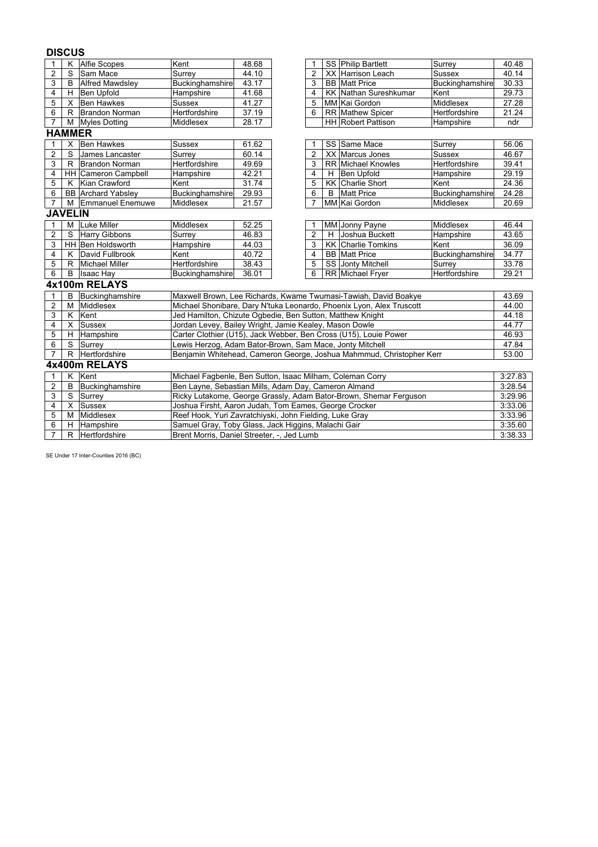### **DISCUS**

| 1              | K             | <b>Alfie Scopes</b>        | Kent                                                             | 48.68                                                              |  | 1              |   | SS Philip Bartlett                                                   | Surrey          | 40.48   |  |
|----------------|---------------|----------------------------|------------------------------------------------------------------|--------------------------------------------------------------------|--|----------------|---|----------------------------------------------------------------------|-----------------|---------|--|
| $\overline{2}$ | S             | Sam Mace                   | Surrey                                                           | 44.10                                                              |  | $\overline{c}$ |   | XX Harrison Leach                                                    | <b>Sussex</b>   | 40.14   |  |
| 3              | B             | <b>Alfred Mawdsley</b>     | <b>Buckinghamshire</b>                                           | 43.17                                                              |  | 3              |   | <b>BB</b> Matt Price                                                 | Buckinghamshire | 30.33   |  |
| 4              |               | H Ben Upfold               | Hampshire                                                        | 41.68                                                              |  | 4              |   | <b>KK Nathan Sureshkumar</b>                                         | Kent            | 29.73   |  |
| 5              |               | X Ben Hawkes               | <b>Sussex</b>                                                    | 41.27                                                              |  | 5              |   | MM Kai Gordon                                                        | Middlesex       | 27.28   |  |
| 6              |               | R Brandon Norman           | Hertfordshire                                                    | 37.19                                                              |  | 6              |   | <b>RR</b> Mathew Spicer                                              | Hertfordshire   | 21.24   |  |
| $\overline{7}$ |               | M Myles Dotting            | Middlesex                                                        | 28.17                                                              |  |                |   | <b>HH</b> Robert Pattison                                            | Hampshire       | ndr     |  |
|                | <b>HAMMER</b> |                            |                                                                  |                                                                    |  |                |   |                                                                      |                 |         |  |
| 1              | X             | <b>Ben Hawkes</b>          | Sussex                                                           | 61.62                                                              |  | 1              |   | SS Same Mace                                                         | Surrey          | 56.06   |  |
| $\overline{2}$ | S             | James Lancaster            | Surrey                                                           | 60.14                                                              |  | 2              |   | XX Marcus Jones                                                      | <b>Sussex</b>   | 46.67   |  |
| 3              |               | R Brandon Norman           | Hertfordshire                                                    | 49.69                                                              |  | 3              |   | <b>RR</b> Michael Knowles                                            | Hertfordshire   | 39.41   |  |
| 4              |               | <b>HH Cameron Campbell</b> | Hampshire                                                        | 42.21                                                              |  | 4              | H | <b>Ben Upfold</b>                                                    | Hampshire       | 29.19   |  |
| 5              | K             | Kian Crawford              | Kent                                                             | 31.74                                                              |  | 5              |   | <b>KK</b> Charlie Short                                              | Kent            | 24.36   |  |
| 6              |               | <b>BB</b> Archard Yabsley  | <b>Buckinghamshire</b>                                           | 29.93                                                              |  | 6              | B | <b>Matt Price</b>                                                    | Buckinghamshire | 24.28   |  |
| $\overline{7}$ | м             | <b>Emmanuel Enemuwe</b>    | Middlesex                                                        | 21.57                                                              |  | 7              |   | MM Kai Gordon                                                        | Middlesex       | 20.69   |  |
|                |               | <b>JAVELIN</b>             |                                                                  |                                                                    |  |                |   |                                                                      |                 |         |  |
| 1              | м             | <b>Luke Miller</b>         | Middlesex                                                        | 52.25                                                              |  | 1              |   | MM Jonny Payne                                                       | Middlesex       | 46.44   |  |
| $\overline{2}$ | S             | <b>Harry Gibbons</b>       | Surrey                                                           | 46.83                                                              |  | $\overline{2}$ | H | Joshua Buckett                                                       | Hampshire       | 43.65   |  |
| 3              |               | HH Ben Holdsworth          | Hampshire                                                        | 44.03                                                              |  | 3              |   | <b>KK Charlie Tomkins</b>                                            | Kent            | 36.09   |  |
| 4              | Κ             | David Fullbrook            | Kent                                                             | 40.72                                                              |  | 4              |   | <b>BB</b> Matt Price                                                 | Buckinghamshire | 34.77   |  |
| 5              |               | R Michael Miller           | Hertfordshire                                                    | 38.43                                                              |  | 5              |   | SS Jonty Mitchell                                                    | Surrey          | 33.78   |  |
| 6              | B             | <b>Isaac Hay</b>           | Buckinghamshire                                                  | 36.01                                                              |  | 6              |   | RR Michael Fryer                                                     | Hertfordshire   | 29.21   |  |
|                |               | 4x100m RELAYS              |                                                                  |                                                                    |  |                |   |                                                                      |                 |         |  |
| $\mathbf{1}$   | B             | Buckinghamshire            |                                                                  |                                                                    |  |                |   | Maxwell Brown, Lee Richards, Kwame Twumasi-Tawiah, David Boakye      |                 | 43.69   |  |
| $\overline{2}$ | М             | Middlesex                  |                                                                  |                                                                    |  |                |   | Michael Shonibare, Dary N'tuka Leonardo, Phoenix Lyon, Alex Truscott |                 | 44.00   |  |
| 3              | K             | Kent                       | Jed Hamilton, Chizute Ogbedie, Ben Sutton, Matthew Knight        |                                                                    |  |                |   |                                                                      |                 | 44.18   |  |
| 4              | X             | <b>Sussex</b>              | Jordan Levey, Bailey Wright, Jamie Kealey, Mason Dowle           |                                                                    |  |                |   |                                                                      |                 | 44.77   |  |
| 5              | H             | Hampshire                  |                                                                  |                                                                    |  |                |   | Carter Clothier (U15), Jack Webber, Ben Cross (U15), Louie Power     |                 | 46.93   |  |
| 6              |               | $\overline{S}$ Surrey      | Lewis Herzog, Adam Bator-Brown, Sam Mace, Jonty Mitchell         |                                                                    |  |                |   |                                                                      |                 | 47.84   |  |
| $\overline{7}$ | R             | Hertfordshire              |                                                                  |                                                                    |  |                |   | Benjamin Whitehead, Cameron George, Joshua Mahmmud, Christopher Kerr |                 | 53.00   |  |
|                | 4x400m RELAYS |                            |                                                                  |                                                                    |  |                |   |                                                                      |                 |         |  |
| 1              | Κ             | Kent                       | Michael Fagbenle, Ben Sutton, Isaac Milham, Coleman Corry        |                                                                    |  |                |   |                                                                      |                 | 3:27.83 |  |
| $\overline{c}$ | B             | Buckinghamshire            | Ben Layne, Sebastian Mills, Adam Day, Cameron Almand<br>3:28.54  |                                                                    |  |                |   |                                                                      |                 |         |  |
| 3              | S.            | Surrey                     |                                                                  |                                                                    |  |                |   | Ricky Lutakome, George Grassly, Adam Bator-Brown, Shemar Ferguson    |                 | 3:29.96 |  |
| 4              | X             | <b>Sussex</b>              | 3:33.06<br>Joshua Firsht, Aaron Judah, Tom Eames, George Crocker |                                                                    |  |                |   |                                                                      |                 |         |  |
| 5              | м             | Middlesex                  |                                                                  | Reef Hook, Yuri Zavratchiyski, John Fielding, Luke Gray<br>3:33.96 |  |                |   |                                                                      |                 |         |  |
| 6              |               | H Hampshire                | Samuel Gray, Toby Glass, Jack Higgins, Malachi Gair              |                                                                    |  |                |   |                                                                      |                 | 3:35.60 |  |
| $\overline{7}$ |               | R Hertfordshire            | Brent Morris, Daniel Streeter, -, Jed Lumb                       |                                                                    |  |                |   |                                                                      |                 | 3:38.33 |  |

SE Under 17 Inter-Counties 2016 (BC)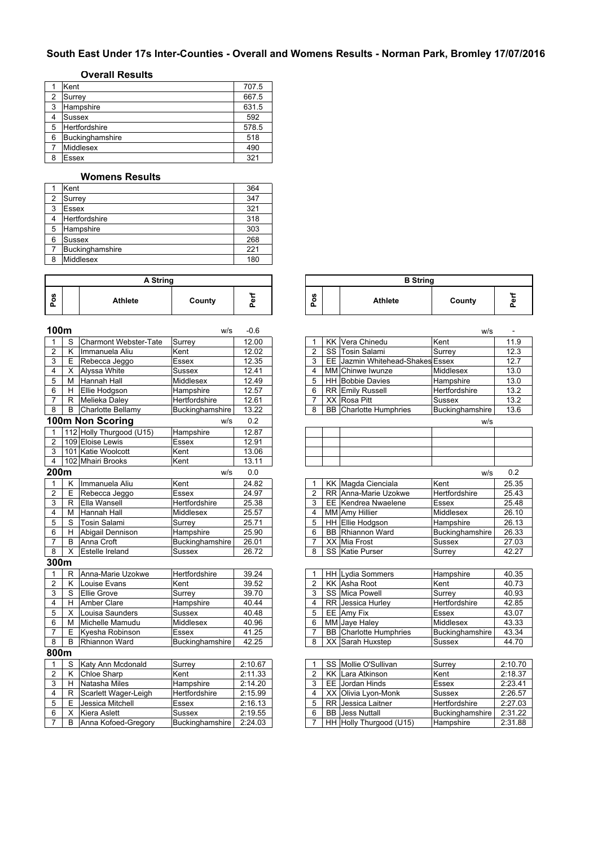# **South East Under 17s Inter-Counties - Overall and Womens Results - Norman Park, Bromley 17/07/2016**

### **Overall Results**

|   | Kent            | 707.5 |
|---|-----------------|-------|
| 2 | Surrey          | 667.5 |
| 3 | Hampshire       | 631.5 |
| 4 | <b>Sussex</b>   | 592   |
| 5 | Hertfordshire   | 578.5 |
| 6 | Buckinghamshire | 518   |
|   | Middlesex       | 490   |
| 8 | Essex           | 321   |

### **Womens Results**

|   | Kent            | 364 |
|---|-----------------|-----|
| 2 | Surrey          | 347 |
| 3 | <b>Essex</b>    | 321 |
|   | Hertfordshire   | 318 |
| 5 | Hampshire       | 303 |
| 6 | <b>Sussex</b>   | 268 |
|   | Buckinghamshire | 221 |
| 8 | Middlesex       | 180 |

|            | A String |         |        |   |  |  |  |  |  |  |  |
|------------|----------|---------|--------|---|--|--|--|--|--|--|--|
| U,<br>10 O |          | Athlete | County | ω |  |  |  |  |  |  |  |

| 100m           |                |                              | W/S             | $-0.6$  |                |           |                               | W/S             |         |
|----------------|----------------|------------------------------|-----------------|---------|----------------|-----------|-------------------------------|-----------------|---------|
|                | S              | <b>Charmont Webster-Tate</b> | Surrey          | 12.00   |                |           | <b>KK</b> Vera Chinedu        | Kent            | 11.9    |
| $\overline{2}$ | Κ              | Immanuela Aliu               | Kent            | 12.02   | $\overline{2}$ | SS        | <b>Tosin Salami</b>           | Surrey          | 12.3    |
| 3              | $\overline{E}$ | Rebecca Jeggo                | Essex           | 12.35   | 3              | EE        | Jazmin Whitehead-Shakes Essex |                 | 12.7    |
| 4              | $\overline{X}$ | Alyssa White                 | <b>Sussex</b>   | 12.41   | 4              |           | MM Chinwe Iwunze              | Middlesex       | 13.0    |
| 5              | M              | Hannah Hall                  | Middlesex       | 12.49   | 5              |           | HH Bobbie Davies              | Hampshire       | 13.0    |
| 6              | H              | Ellie Hodgson                | Hampshire       | 12.57   | 6              |           | RR Emily Russell              | Hertfordshire   | 13.2    |
| $\overline{7}$ | R.             | Melieka Daley                | Hertfordshire   | 12.61   | $\overline{7}$ |           | XX Rosa Pitt                  | Sussex          | 13.2    |
| 8              | B              | Charlotte Bellamy            | Buckinghamshire | 13.22   | 8              |           | <b>BB</b> Charlotte Humphries | Buckinghamshire | 13.6    |
|                |                | 100m Non Scoring             | W/S             | 0.2     |                |           |                               | w/s             |         |
| 1              |                | 112 Holly Thurgood (U15)     | Hampshire       | 12.87   |                |           |                               |                 |         |
| $\overline{2}$ |                | 109 Eloise Lewis             | <b>Essex</b>    | 12.91   |                |           |                               |                 |         |
| 3              |                | 101 Katie Woolcott           | Kent            | 13.06   |                |           |                               |                 |         |
| $\overline{4}$ |                | 102 Mhairi Brooks            | Kent            | 13.11   |                |           |                               |                 |         |
| 200m           |                |                              | w/s             | 0.0     |                |           |                               | W/S             | 0.2     |
| 1              | Κ              | Immanuela Aliu               | Kent            | 24.82   |                |           | KK Magda Cienciala            | Kent            | 25.35   |
| $\overline{2}$ | E              | Rebecca Jeggo                | Essex           | 24.97   | $\overline{2}$ |           | RR Anna-Marie Uzokwe          | Hertfordshire   | 25.43   |
| 3              | R              | Ella Wansell                 | Hertfordshire   | 25.38   | 3              |           | EE Kendrea Nwaelene           | <b>Essex</b>    | 25.48   |
| 4              | M              | <b>Hannah Hall</b>           | Middlesex       | 25.57   | 4              |           | <b>MM</b> Amy Hillier         | Middlesex       | 26.10   |
| 5              | S              | Tosin Salami                 | Surrey          | 25.71   | 5              |           | HH Ellie Hodgson              | Hampshire       | 26.13   |
| 6              | H.             | Abigail Dennison             | Hampshire       | 25.90   | 6              |           | <b>BB</b> Rhiannon Ward       | Buckinghamshire | 26.33   |
| 7              | B              | Anna Croft                   | Buckinghamshire | 26.01   | $\overline{7}$ |           | XX Mia Frost                  | Sussex          | 27.03   |
| 8              | X              | <b>Estelle Ireland</b>       | <b>Sussex</b>   | 26.72   | 8              |           | SS Katie Purser               | Surrey          | 42.27   |
| 300m           |                |                              |                 |         |                |           |                               |                 |         |
| 1              | R              | Anna-Marie Uzokwe            | Hertfordshire   | 39.24   |                |           | HH Lydia Sommers              | Hampshire       | 40.35   |
| 2              | Κ              | Louise Evans                 | Kent            | 39.52   | $\overline{2}$ |           | KK Asha Root                  | Kent            | 40.73   |
| 3              | S              | <b>Ellie Grove</b>           | Surrey          | 39.70   | 3              |           | SS Mica Powell                | Surrey          | 40.93   |
| 4              | н              | <b>Amber Clare</b>           | Hampshire       | 40.44   | 4              |           | RR Jessica Hurley             | Hertfordshire   | 42.85   |
| 5              | X              | Louisa Saunders              | <b>Sussex</b>   | 40.48   | 5              |           | EE Amy Fix                    | Essex           | 43.07   |
| 6              | м              | Michelle Mamudu              | Middlesex       | 40.96   | 6              |           | MM Jave Halev                 | Middlesex       | 43.33   |
| $\overline{7}$ | E              | Kyesha Robinson              | Essex           | 41.25   | $\overline{7}$ |           | <b>BB</b> Charlotte Humphries | Buckinghamshire | 43.34   |
| 8              | B              | Rhiannon Ward                | Buckinghamshire | 42.25   | 8              |           | XX Sarah Huxstep              | <b>Sussex</b>   | 44.70   |
| 800m           |                |                              |                 |         |                |           |                               |                 |         |
| 1              | S              | Katy Ann Mcdonald            | Surrey          | 2:10.67 |                |           | SS Mollie O'Sullivan          | Surrey          | 2:10.70 |
| $\overline{c}$ | Κ              | <b>Chloe Sharp</b>           | Kent            | 2:11.33 | $\overline{2}$ |           | KK Lara Atkinson              | Kent            | 2:18.37 |
| 3              | H.             | Natasha Miles                | Hampshire       | 2:14.20 | 3              |           | EE Jordan Hinds               | Essex           | 2:23.41 |
| 4              | $\mathsf{R}$   | Scarlett Wager-Leigh         | Hertfordshire   | 2:15.99 | 4              |           | XX Olivia Lyon-Monk           | <b>Sussex</b>   | 2:26.57 |
| 5              | E              | Jessica Mitchell             | Essex           | 2:16.13 | 5              | <b>RR</b> | Jessica Laitner               | Hertfordshire   | 2:27.03 |
| 6              | X              | Kiera Aslett                 | <b>Sussex</b>   | 2:19.55 | 6              | <b>BB</b> | <b>Jess Nuttall</b>           | Buckinghamshire | 2:31.22 |
| $\overline{7}$ | B              | Anna Kofoed-Gregory          | Buckinghamshire | 2:24.03 |                |           | HH Holly Thurgood (U15)       | Hampshire       | 2:31.88 |

| A String |        |            |                    | <b>B</b> String |        |           |
|----------|--------|------------|--------------------|-----------------|--------|-----------|
|          | County | <br>ᄒ<br>௨ | <b>S</b><br>۰<br>௨ | <b>Athlete</b>  | County | <b>MA</b> |

|                         | uum      |                              | w/s             | -0.6    |                         |           |                               | w/s              | $\blacksquare$ |
|-------------------------|----------|------------------------------|-----------------|---------|-------------------------|-----------|-------------------------------|------------------|----------------|
| 1                       | S        | <b>Charmont Webster-Tate</b> | Surrey          | 12.00   |                         | KK        | Vera Chinedu                  | Kent             | 11.9           |
| $\overline{2}$          | K        | Immanuela Aliu               | Kent            | 12.02   | $\overline{2}$          | SS        | <b>Tosin Salami</b>           | Surrey           | 12.3           |
| 3                       | E        | Rebecca Jeggo                | Essex           | 12.35   | 3                       | EE        | Jazmin Whitehead-Shakes Essex |                  | 12.7           |
| 4                       | X        | Alyssa White                 | Sussex          | 12.41   | 4                       |           | MM Chinwe Iwunze              | Middlesex        | 13.0           |
| 5                       | м        | Hannah Hall                  | Middlesex       | 12.49   | 5                       | HH        | <b>Bobbie Davies</b>          | Hampshire        | 13.0           |
| 6                       | H        | Ellie Hodgson                | Hampshire       | 12.57   | 6                       | <b>RR</b> | <b>Emily Russell</b>          | Hertfordshire    | 13.2           |
| 7                       | R.       | Melieka Daley                | Hertfordshire   | 12.61   | $\overline{7}$          | XX        | Rosa Pitt                     | <b>Sussex</b>    | 13.2           |
| 8                       | B        | Charlotte Bellamy            | Buckinghamshire | 13.22   | 8                       | BB        | Charlotte Humphries           | Buckinghamshire  | 13.6           |
|                         |          | 00m Non Scoring              | w/s             | 0.2     |                         |           |                               | w/s              |                |
| 1                       |          | 112 Holly Thurgood (U15)     | Hampshire       | 12.87   |                         |           |                               |                  |                |
| 2                       |          | 109 Eloise Lewis             | <b>Essex</b>    | 12.91   |                         |           |                               |                  |                |
| 3                       |          | 101 Katie Woolcott           | Kent            | 13.06   |                         |           |                               |                  |                |
| 4                       |          | 102 Mhairi Brooks            | Kent            | 13.11   |                         |           |                               |                  |                |
|                         | 00m      |                              | W/S             | 0.0     |                         |           |                               | W/S              | 0.2            |
| 1                       | Κ        | Immanuela Aliu               | Kent            | 24.82   |                         |           | KK Magda Cienciala            | Kent             | 25.35          |
| $\overline{2}$          | Ε        | Rebecca Jeggo                | Essex           | 24.97   | $\overline{2}$          |           | RR Anna-Marie Uzokwe          | Hertfordshire    | 25.43          |
| 3                       |          | R Ella Wansell               | Hertfordshire   | 25.38   | 3                       |           | EE Kendrea Nwaelene           | Essex            | 25.48          |
| 4                       | м        | <b>Hannah Hall</b>           | Middlesex       | 25.57   | 4                       |           | <b>MM</b> Amy Hillier         | <b>Middlesex</b> | 26.10          |
| 5                       | S        | <b>Tosin Salami</b>          | Surrey          | 25.71   | 5                       | <b>HH</b> | Ellie Hodgson                 | Hampshire        | 26.13          |
| 6                       | H.       | Abigail Dennison             | Hampshire       | 25.90   | 6                       | <b>BB</b> | Rhiannon Ward                 | Buckinghamshire  | 26.33          |
| 7                       | B        | Anna Croft                   | Buckinghamshire | 26.01   | $\overline{7}$          |           | XX Mia Frost                  | Sussex           | 27.03          |
| 8                       | X        | Estelle Ireland              | Sussex          | 26.72   | 8                       | SS        | <b>Katie Purser</b>           | Surrey           | 42.27          |
|                         | 00m      |                              |                 |         |                         |           |                               |                  |                |
| 1                       | R        | Anna-Marie Uzokwe            | Hertfordshire   | 39.24   |                         | HH        | Lydia Sommers                 | Hampshire        | 40.35          |
| 2                       | ĸ        | Louise Evans                 | Kent            | 39.52   | $\overline{2}$          |           | <b>KK Asha Root</b>           | Kent             | 40.73          |
| 3                       | S        | <b>Ellie Grove</b>           | Surrey          | 39.70   | 3                       |           | SS Mica Powell                | Surrey           | 40.93          |
| 4                       | н        | <b>Amber Clare</b>           | Hampshire       | 40.44   | $\overline{\mathbf{4}}$ | <b>RR</b> | Jessica Hurley                | Hertfordshire    | 42.85          |
| 5                       | $\times$ | Louisa Saunders              | <b>Sussex</b>   | 40.48   | 5                       |           | EE Amy Fix                    | Essex            | 43.07          |
| 6                       | м        | Michelle Mamudu              | Middlesex       | 40.96   | 6                       | ΜМ        | Jaye Haley                    | <b>Middlesex</b> | 43.33          |
| 7                       | Е        | Kyesha Robinson              | Essex           | 41.25   | $\overline{7}$          | BB        | Charlotte Humphries           | Buckinghamshire  | 43.34          |
| 8                       | B        | <b>Rhiannon Ward</b>         | Buckinghamshire | 42.25   | 8                       | XX        | Sarah Huxstep                 | Sussex           | 44.70          |
|                         | 00m      |                              |                 |         |                         |           |                               |                  |                |
| 1                       | S        | Katy Ann Mcdonald            | Surrey          | 2:10.67 |                         |           | SS Mollie O'Sullivan          | Surrey           | 2:10.70        |
| $\overline{\mathbf{c}}$ | K        | <b>Chloe Sharp</b>           | Kent            | 2:11.33 | $\overline{c}$          |           | KK Lara Atkinson              | Kent             | 2:18.37        |
| 3                       | H        | Natasha Miles                | Hampshire       | 2:14.20 | 3                       | EE        | Jordan Hinds                  | Essex            | 2:23.41        |
| 4                       | R        | Scarlett Wager-Leigh         | Hertfordshire   | 2:15.99 | 4                       | XX        | Olivia Lyon-Monk              | <b>Sussex</b>    | 2:26.57        |
| 5                       | E        | Jessica Mitchell             | Essex           | 2:16.13 | 5                       | <b>RR</b> | Jessica Laitner               | Hertfordshire    | 2:27.03        |
| 6                       | X        | <b>Kiera Aslett</b>          | Sussex          | 2:19.55 | 6                       | <b>BB</b> | <b>Jess Nuttall</b>           | Buckinghamshire  | 2:31.22        |
| $\overline{7}$          | B        | Anna Kofoed-Gregory          | Buckinghamshire | 2:24.03 | $\overline{7}$          |           | HH Holly Thurgood (U15)       | Hampshire        | 2:31.88        |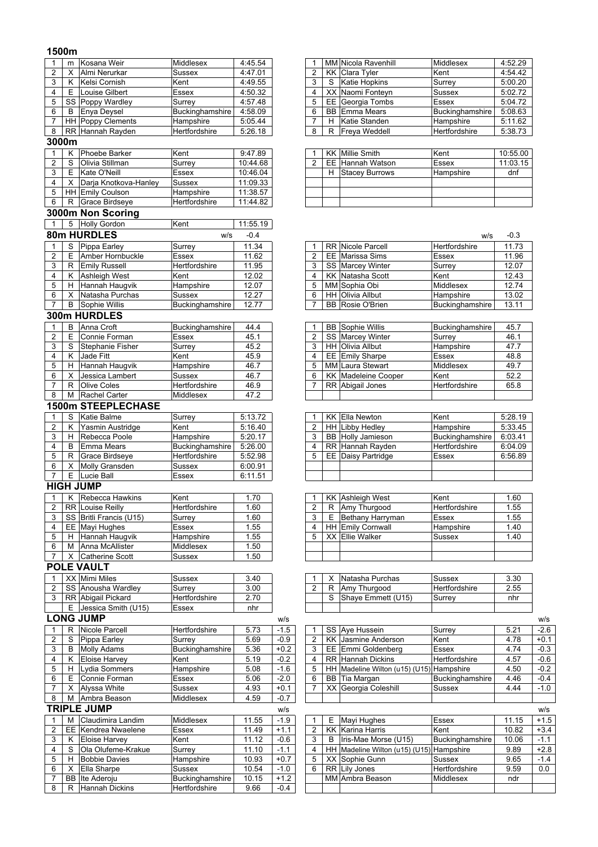### **1500m**

| 1                       | m      | Kosana Weir                               | Middlesex                  | 4:45.54              |        |                         |           | MM Nicola Ravenhill                                | Middlesex         | 4:52.29            |
|-------------------------|--------|-------------------------------------------|----------------------------|----------------------|--------|-------------------------|-----------|----------------------------------------------------|-------------------|--------------------|
| $\overline{2}$          | х      | Almi Nerurkar                             | Sussex                     | 4:47.01              |        | $\overline{2}$          | KK        | Clara Tyler                                        | Kent              | 4:54.42            |
| 3                       | Κ      | Kelsi Cornish                             | Kent                       | 4:49.55              |        | 3                       | S         | Katie Hopkins                                      | Surrey            | 5:00.20            |
| $\overline{\mathbf{4}}$ | Е      | Louise Gilbert                            | Essex                      | 4:50.32              |        | 4                       | XX        | Naomi Fonteyn                                      | Sussex            | 5:02.72            |
| 5                       |        | SS Poppy Wardley                          | Surrey                     | 4:57.48              |        | 5                       | EE        | Georgia Tombs                                      | Essex             | 5:04.72            |
| 6                       | В      | Enya Deysel                               | Buckinghamshire            | 4:58.09              |        | 6                       | BB        | <b>Emma Mears</b>                                  | Buckinghamshire   | 5:08.63            |
| $\overline{7}$          |        | <b>HH</b> Poppy Clements                  | Hampshire                  | 5:05.44              |        | $\overline{7}$          | H         | Katie Standen                                      | Hampshire         | 5:11.62            |
| 8                       |        | RR Hannah Rayden                          | Hertfordshire              | 5:26.18              |        | 8                       | R         | <b>Freya Weddell</b>                               | Hertfordshire     | 5:38.73            |
| 3000m                   |        |                                           |                            |                      |        |                         |           |                                                    |                   |                    |
| $\mathbf{1}$            | ĸ      | Phoebe Barker                             | Kent                       | 9:47.89              |        |                         |           | <b>KK</b> Millie Smith                             | Kent              | 10:55.00           |
| $\overline{c}$          | S      | Olivia Stillman                           | Surrey                     | 10:44.68             |        | 2                       | EE        | Hannah Watson                                      | Essex             | 11:03.15           |
| 3                       | Е      | Kate O'Neill                              | Essex                      | 10:46.04             |        |                         | H.        | <b>Stacey Burrows</b>                              | Hampshire         | dnf                |
| 4                       | Х      | Darja Knotkova-Hanley                     | Sussex                     | 11:09.33             |        |                         |           |                                                    |                   |                    |
| 5<br>6                  | R      | HH Emily Coulson<br><b>Grace Birdseye</b> | Hampshire<br>Hertfordshire | 11:38.57<br>11:44.82 |        |                         |           |                                                    |                   |                    |
|                         |        |                                           |                            |                      |        |                         |           |                                                    |                   |                    |
|                         |        | 3000m Non Scoring                         |                            |                      |        |                         |           |                                                    |                   |                    |
| $\mathbf{1}$            | 5      | <b>Holly Gordon</b>                       | Kent                       | 11:55.19             |        |                         |           |                                                    |                   |                    |
|                         |        | 80m HURDLES                               | W/S                        | $-0.4$               |        |                         |           |                                                    | W/S               | $-0.3$             |
| 1                       | S      | Pippa Earley                              | Surrey                     | 11.34                |        |                         |           | <b>RR Nicole Parcell</b>                           | Hertfordshire     | 11.73              |
| $\overline{\mathbf{c}}$ | Е      | Amber Hornbuckle                          | Essex                      | 11.62                |        | $\overline{\mathbf{c}}$ |           | <b>EE</b> Marissa Sims                             | Essex             | 11.96              |
| 3                       | R      | <b>Emily Russell</b>                      | Hertfordshire              | 11.95                |        | 3                       |           | SS Marcey Winter                                   | Surrey            | 12.07              |
| 4                       |        | K Ashleigh West                           | Kent                       | 12.02                |        | $\overline{\mathbf{4}}$ | KK        | Natasha Scott                                      | Kent              | 12.43              |
| 5                       |        | H Hannah Haugvik                          | Hampshire                  | 12.07                |        | 5                       |           | MM Sophia Obi                                      | Middlesex         | 12.74              |
| 6<br>$\overline{7}$     | X      | Natasha Purchas                           | Sussex                     | 12.27                |        | 6                       |           | <b>HH</b> Olivia Allbut<br><b>BB</b> Rosie O'Brien | Hampshire         | 13.02              |
|                         | В      | Sophie Willis                             | Buckinghamshire            | 12.77                |        |                         |           |                                                    | Buckinghamshire   | 13.11              |
|                         |        | 300m HURDLES                              |                            |                      |        |                         |           |                                                    |                   |                    |
| $\mathbf{1}$            | B      | Anna Croft                                | Buckinghamshire            | 44.4                 |        | 1                       |           | <b>BB</b> Sophie Willis                            | Buckinghamshire   | 45.7               |
| $\overline{2}$          | E      | Connie Forman                             | Essex                      | 45.1                 |        | $\overline{c}$          |           | SS Marcey Winter                                   | Surrey            | 46.1               |
| 3                       | S      | <b>Stephanie Fisher</b>                   | Surrey                     | 45.2                 |        | 3                       |           | HH Olivia Allbut                                   | Hampshire         | 47.7               |
| 4<br>5                  | Κ      | Jade Fitt                                 | Kent                       | 45.9                 |        | 4<br>5                  |           | EE Emily Sharpe<br>MM Laura Stewart                | Essex             | 48.8<br>49.7       |
| 6                       | H<br>Х | Hannah Haugvik<br>Jessica Lambert         | Hampshire<br>Sussex        | 46.7<br>46.7         |        | 6                       | KK        | Madeleine Cooper                                   | Middlesex<br>Kent | 52.2               |
| 7                       | R      | <b>Olive Coles</b>                        | Hertfordshire              | 46.9                 |        | $\overline{7}$          |           | RR Abigail Jones                                   | Hertfordshire     | 65.8               |
| 8                       |        | M Rachel Carter                           | Middlesex                  | 47.2                 |        |                         |           |                                                    |                   |                    |
|                         |        | <b>1500m STEEPLECHASE</b>                 |                            |                      |        |                         |           |                                                    |                   |                    |
| $\mathbf{1}$            |        |                                           |                            |                      |        |                         |           |                                                    |                   |                    |
|                         | S<br>Κ | <b>Katie Balme</b>                        | Surrey<br>Kent             | 5:13.72<br>5:16.40   |        | 1<br>2                  | HH        | <b>KK Ella Newton</b><br>Libby Hedley              | Kent<br>Hampshire | 5:28.19<br>5:33.45 |
| $\overline{c}$<br>3     | H      | Yasmin Austridge<br>Rebecca Poole         | Hampshire                  | 5:20.17              |        | 3                       | BB        | Holly Jamieson                                     | Buckinghamshire   | 6:03.41            |
| 4                       | В      | <b>Emma Mears</b>                         | Buckinghamshire            | 5:26.00              |        | 4                       | <b>RR</b> | Hannah Rayden                                      | Hertfordshire     | 6:04.09            |
| 5                       | R      | <b>Grace Birdseye</b>                     | Hertfordshire              | 5:52.98              |        | 5                       | EE        | Daisy Partridge                                    | Essex             | 6:56.89            |
| 6                       | х      | Molly Gransden                            | Sussex                     | 6:00.91              |        |                         |           |                                                    |                   |                    |
| $\overline{7}$          | E      | Lucie Ball                                | <b>Essex</b>               | 6:11.51              |        |                         |           |                                                    |                   |                    |
|                         |        | <b>HIGH JUMP</b>                          |                            |                      |        |                         |           |                                                    |                   |                    |
| 1                       | Κ      | <b>Rebecca Hawkins</b>                    | Kent                       | 1.70                 |        |                         |           | <b>KK</b> Ashleigh West                            | Kent              | 1.60               |
| 2                       |        | <b>RR</b> Louise Reilly                   | Hertfordshire              | 1.60                 |        | 2                       |           | R Amy I hurgood                                    | Hertfordshire     | 1.55               |
| 3                       |        | SS Britli Francis (U15)                   | Surrey                     | 1.60                 |        | 3                       | E         | Bethany Harryman                                   | Essex             | 1.55               |
| 4                       |        | EE Mayi Hughes                            | Essex                      | 1.55                 |        | 4                       | HH        | <b>Emily Cornwall</b>                              | Hampshire         | 1.40               |
| 5                       | H.     | Hannah Haugvik                            | Hampshire                  | 1.55                 |        | 5                       |           | XX Ellie Walker                                    | Sussex            | 1.40               |
| 6                       | м      | Anna McAllister                           | Middlesex                  | 1.50                 |        |                         |           |                                                    |                   |                    |
| $\overline{7}$          | X.     | <b>Catherine Scott</b>                    | Sussex                     | 1.50                 |        |                         |           |                                                    |                   |                    |
|                         |        | <b>POLE VAULT</b>                         |                            |                      |        |                         |           |                                                    |                   |                    |
| 1                       |        | XX Mimi Miles                             | Sussex                     | 3.40                 |        |                         | х         | Natasha Purchas                                    | Sussex            | 3.30               |
| $\overline{c}$          |        | SS Anousha Wardley                        | Surrey                     | 3.00                 |        | 2                       | R         | Amy Thurgood                                       | Hertfordshire     | 2.55               |
| 3                       |        | RR Abigail Pickard                        | Hertfordshire              | 2.70                 |        |                         | S         | Shaye Emmett (U15)                                 | Surrey            | nhr                |
|                         |        | E Jessica Smith (U15)                     | Essex                      | nhr                  |        |                         |           |                                                    |                   |                    |
|                         |        | <b>LONG JUMP</b>                          |                            |                      | W/S    |                         |           |                                                    |                   |                    |
| 1                       | R.     | Nicole Parcell                            | Hertfordshire              | 5.73                 | $-1.5$ |                         |           | SS Aye Hussein                                     | Surrey            | 5.21               |
| 2                       | S      | Pippa Earley                              | Surrey                     | 5.69                 | $-0.9$ | 2                       |           | <b>KK</b> Jasmine Anderson                         | Kent              | 4.78               |
| 3                       | B      | <b>Molly Adams</b>                        | Buckinghamshire            | 5.36                 | $+0.2$ | 3                       |           | EE Emmi Goldenberg                                 | Essex             | 4.74               |
| 4                       | Κ      | <b>Eloise Harvey</b>                      | Kent                       | 5.19                 | $-0.2$ | 4                       |           | <b>RR</b> Hannah Dickins                           | Hertfordshire     | 4.57               |
| 5                       |        | H Lydia Sommers                           | Hampshire                  | 5.08                 | $-1.6$ | 5                       |           | HH Madeline Wilton (u15) (U15) Hampshire           |                   | 4.50               |
| 6                       | E.     | Connie Forman                             | Essex                      | 5.06                 | $-2.0$ | 6                       | BB        | Tia Margan                                         | Buckinghamshire   | 4.46               |
| 7                       | х      | Alyssa White                              | Sussex                     | 4.93                 | $+0.1$ | 7                       | XX        | Georgia Coleshill                                  | Sussex            | 4.44               |
| 8                       |        | M Ambra Beason                            | Middlesex                  | 4.59                 | $-0.7$ |                         |           |                                                    |                   |                    |
|                         |        | <b>TRIPLE JUMP</b>                        |                            |                      | W/S    |                         |           |                                                    |                   |                    |
| 1                       | м      | Claudimira Landim                         | Middlesex                  | 11.55                | $-1.9$ |                         | Ε         | Mayi Hughes                                        | Essex             | 11.15              |
| $\overline{c}$          |        | <b>EE Kendrea Nwaelene</b>                | Essex                      | 11.49                | $+1.1$ | 2                       |           | <b>KK Karina Harris</b>                            | Kent              | 10.82              |
| 3                       |        | K Eloise Harvey                           | Kent                       | 11.12                | $-0.6$ | 3                       | B         | Iris-Mae Morse (U15)                               | Buckinghamshire   | 10.06              |
| 4                       | S      | Ola Olufeme-Krakue                        | Surrey                     | 11.10                | $-1.1$ | 4                       | ΗH        | Madeline Wilton (u15) (U15) Hampshire              |                   | 9.89               |
| 5                       | H.     | <b>Bobbie Davies</b>                      | Hampshire                  | 10.93                | $+0.7$ | 5                       |           | XX Sophie Gunn                                     | Sussex            | 9.65               |
| 6                       |        | X Ella Sharpe                             | Sussex                     | 10.54                | $-1.0$ | 6                       | <b>RR</b> | Lily Jones                                         | Hertfordshire     | 9.59               |
| 7                       |        | <b>BB</b> Ite Aderoju                     | Buckinghamshire            | 10.15                | $+1.2$ |                         |           | MM Ambra Beason                                    | Middlesex         | ndr                |
| 8                       |        | R Hannah Dickins                          | Hertfordshire              | 9.66                 | $-0.4$ |                         |           |                                                    |                   |                    |

|   |   | MM Nicola Ravenhill   | Middlesex       | 4:52.29 |
|---|---|-----------------------|-----------------|---------|
| 2 |   | <b>KK</b> Clara Tyler | Kent            | 4:54.42 |
| 3 |   | S Katie Hopkins       | Surrey          | 5:00.20 |
| 4 |   | XX Naomi Fonteyn      | <b>Sussex</b>   | 5:02.72 |
| 5 |   | EE Georgia Tombs      | <b>Essex</b>    | 5:04.72 |
| 6 |   | <b>BB</b> Emma Mears  | Buckinghamshire | 5:08.63 |
| 7 | н | Katie Standen         | Hampshire       | 5:11.62 |
| 8 |   | R Freya Weddell       | Hertfordshire   | 5:38.73 |

|   | <b>KK</b> Millie Smith  | Kent      | 10:55.00 |
|---|-------------------------|-----------|----------|
|   | <b>EE</b> Hannah Watson | Essex     | 11:03.15 |
| н | <b>Stacey Burrows</b>   | Hampshire | dnf      |
|   |                         |           |          |
|   |                         |           |          |
|   |                         |           |          |

|                |                          | W/S             | $-0.3$ |
|----------------|--------------------------|-----------------|--------|
|                | <b>RR</b> Nicole Parcell | Hertfordshire   | 11.73  |
| $\overline{2}$ | <b>EE</b> Marissa Sims   | Essex           | 11.96  |
| 3              | <b>SS</b> Marcey Winter  | Surrey          | 12.07  |
| $\overline{4}$ | <b>KK Natasha Scott</b>  | Kent            | 12.43  |
| -5             | MM Sophia Obi            | Middlesex       | 12.74  |
| 6              | <b>HH Olivia Allbut</b>  | Hampshire       | 13.02  |
|                | <b>BB</b> Rosie O'Brien  | Buckinghamshire | 13.11  |

|   | <b>BB</b> Sophie Willis    | Buckinghamshire      | 45.7 |
|---|----------------------------|----------------------|------|
| 2 | SS Marcey Winter           | Surrey               | 46.1 |
| 3 | HH Olivia Allbut           | Hampshire            | 47.7 |
|   | EE Emily Sharpe            | Essex                | 48.8 |
| 5 | MM Laura Stewart           | <b>Middlesex</b>     | 49.7 |
| 6 | <b>KK Madeleine Cooper</b> | Kent                 | 52.2 |
|   | RR Abigail Jones           | <b>Hertfordshire</b> | 65.8 |
|   |                            |                      |      |

|   | KK Ella Newton            | Kent                 | 5:28.19 |
|---|---------------------------|----------------------|---------|
| 2 | HH Libby Hedley           | Hampshire            | 5:33.45 |
| 3 | <b>BB</b> Holly Jamieson  | Buckinghamshire      | 6:03.41 |
| 4 | RR Hannah Rayden          | <b>Hertfordshire</b> | 6:04.09 |
| 5 | <b>EE</b> Daisy Partridge | Essex                | 6:56.89 |
|   |                           |                      |         |
|   |                           |                      |         |

|   |   | <b>KK</b> Ashleigh West  | Kent          | 1.60 |
|---|---|--------------------------|---------------|------|
| 2 | R | Amy Thurgood             | Hertfordshire | 1.55 |
| 3 |   | Bethany Harryman         | Essex         | 1.55 |
| 4 |   | <b>HH Emily Cornwall</b> | Hampshire     | 1.40 |
| 5 |   | XX Ellie Walker          | <b>Sussex</b> | 1.40 |
|   |   |                          |               |      |
|   |   |                          |               |      |

|  | Natasha Purchas    | Sussex               | 3.30 |
|--|--------------------|----------------------|------|
|  | Amy Thurgood       | <b>Hertfordshire</b> | 2.55 |
|  | Shaye Emmett (U15) | Surrev               | nhr  |
|  |                    |                      |      |

|    |    | UNU JUMP             |                      |      | W/S    |   |                                          |                 |      | W/S    |
|----|----|----------------------|----------------------|------|--------|---|------------------------------------------|-----------------|------|--------|
|    | R  | Nicole Parcell       | <b>Hertfordshire</b> | 5.73 | $-1.5$ |   | SS Ave Hussein                           | Surrey          | 5.21 | $-2.6$ |
| 2  | -S | Pippa Earley         | Surrey               | 5.69 | $-0.9$ |   | KK Jasmine Anderson                      | Kent            | 4.78 | $+0.1$ |
| 3  | B  | Molly Adams          | Buckinghamshire      | 5.36 | $+0.2$ | 3 | EE Emmi Goldenberg                       | <b>Essex</b>    | 4.74 | $-0.3$ |
|    |    | <b>Eloise Harvey</b> | Kent                 | 5.19 | $-0.2$ |   | <b>RR</b> Hannah Dickins                 | Hertfordshire   | 4.57 | $-0.6$ |
|    | H  | Lydia Sommers        | Hampshire            | 5.08 | $-1.6$ |   | HH Madeline Wilton (u15) (U15) Hampshire |                 | 4.50 | $-0.2$ |
| 6. |    | Connie Forman        | Essex                | 5.06 | $-2.0$ |   | BB Tia Margan                            | Buckinghamshire | 4.46 | $-0.4$ |
|    | X  | Alvssa White         | Sussex               | 4.93 | $+0.1$ |   | XX Georgia Coleshill                     | <b>Sussex</b>   | 4.44 | $-1.0$ |
| 8. | M  | Ambra Beason         | Middlesex            | 4.59 | $-0.7$ |   |                                          |                 |      |        |

|    |    | .                     |                      |       | <b>VV/ 13</b> |  |   |                                          |                      |       | <b>VV/</b> 5 |
|----|----|-----------------------|----------------------|-------|---------------|--|---|------------------------------------------|----------------------|-------|--------------|
|    | M  | Claudimira Landim     | Middlesex            | 11.55 | $-1.9$        |  |   | Mayi Hughes                              | <b>Essex</b>         | 11.15 | $+1.5$       |
|    |    | EE Kendrea Nwaelene   | Essex                | 11.49 | $+1.1$        |  |   | KK Karina Harris                         | Kent                 | 10.82 | $+3.4$       |
|    |    | Eloise Harvey         | Kent                 | 11.12 | $-0.6$        |  | В | Iris-Mae Morse (U15)                     | Buckinghamshire      | 10.06 | $-1.1$       |
|    | -S | Ola Olufeme-Krakue    | Surrev               | 11.10 | $-1.1$        |  |   | HH Madeline Wilton (u15) (U15) Hampshire |                      | 9.89  | $+2.8$       |
| 5  |    | <b>Bobbie Davies</b>  | Hampshire            | 10.93 | $+0.7$        |  |   | XX Sophie Gunn                           | Sussex               | 9.65  | $-1.4$       |
|    |    | <b>Ella Sharpe</b>    | Sussex               | 10.54 | $-1.0$        |  |   | RR Lily Jones                            | <b>Hertfordshire</b> | 9.59  | 0.0          |
|    |    | <b>BB</b> Ite Aderoiu | Buckinghamshire      | 10.15 | $+1.2$        |  |   | MM Ambra Beason                          | Middlesex            | ndr   |              |
| 8. | -R | <b>Hannah Dickins</b> | <b>Hertfordshire</b> | 9.66  | $-0.4$        |  |   |                                          |                      |       |              |